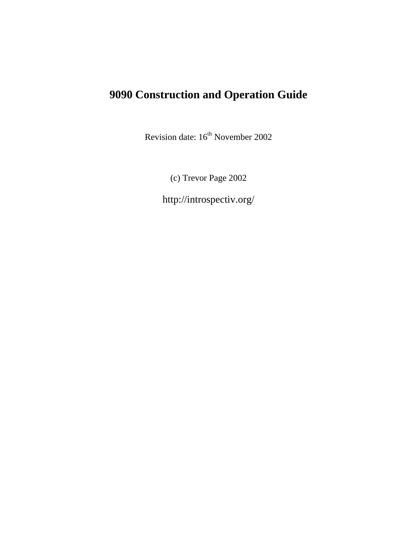# **9090 Construction and Operation Guide**

Revision date:  $16^{th}$  November 2002

(c) Trevor Page 2002

http://introspectiv.org/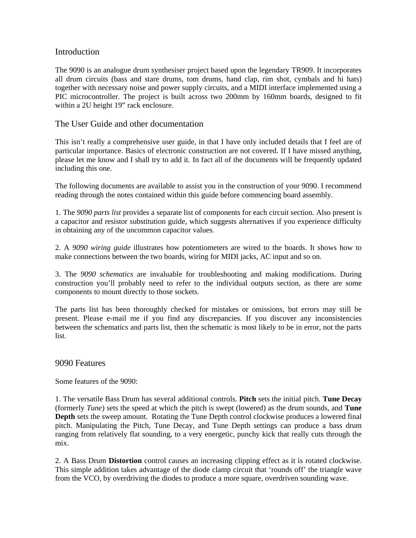# Introduction

The 9090 is an analogue drum synthesiser project based upon the legendary TR909. It incorporates all drum circuits (bass and stare drums, tom drums, hand clap, rim shot, cymbals and hi hats) together with necessary noise and power supply circuits, and a MIDI interface implemented using a PIC microcontroller. The project is built across two 200mm by 160mm boards, designed to fit within a 2U height 19" rack enclosure.

# The User Guide and other documentation

This isn't really a comprehensive user guide, in that I have only included details that I feel are of particular importance. Basics of electronic construction are not covered. If I have missed anything, please let me know and I shall try to add it. In fact all of the documents will be frequently updated including this one.

The following documents are available to assist you in the construction of your 9090. I recommend reading through the notes contained within this guide before commencing board assembly.

1. The *9090 parts list* provides a separate list of components for each circuit section. Also present is a capacitor and resistor substitution guide, which suggests alternatives if you experience difficulty in obtaining any of the uncommon capacitor values.

2. A *9090 wiring guide* illustrates how potentiometers are wired to the boards. It shows how to make connections between the two boards, wiring for MIDI jacks, AC input and so on.

3. The *9090 schematics* are invaluable for troubleshooting and making modifications. During construction you'll probably need to refer to the individual outputs section, as there are some components to mount directly to those sockets.

The parts list has been thoroughly checked for mistakes or omissions, but errors may still be present. Please e-mail me if you find any discrepancies. If you discover any inconsistencies between the schematics and parts list, then the schematic is most likely to be in error, not the parts list.

# 9090 Features

Some features of the 9090:

1. The versatile Bass Drum has several additional controls. **Pitch** sets the initial pitch. **Tune Decay** (formerly *Tune*) sets the speed at which the pitch is swept (lowered) as the drum sounds, and **Tune Depth** sets the sweep amount. Rotating the Tune Depth control clockwise produces a lowered final pitch. Manipulating the Pitch, Tune Decay, and Tune Depth settings can produce a bass drum ranging from relatively flat sounding, to a very energetic, punchy kick that really cuts through the mix.

2. A Bass Drum **Distortion** control causes an increasing clipping effect as it is rotated clockwise. This simple addition takes advantage of the diode clamp circuit that 'rounds off' the triangle wave from the VCO, by overdriving the diodes to produce a more square, overdriven sounding wave.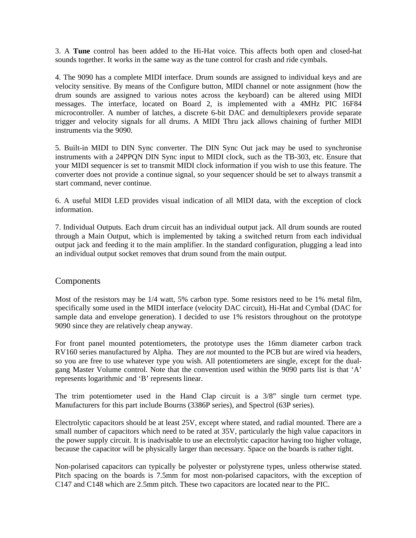3. A **Tune** control has been added to the Hi-Hat voice. This affects both open and closed-hat sounds together. It works in the same way as the tune control for crash and ride cymbals.

4. The 9090 has a complete MIDI interface. Drum sounds are assigned to individual keys and are velocity sensitive. By means of the Configure button, MIDI channel or note assignment (how the drum sounds are assigned to various notes across the keyboard) can be altered using MIDI messages. The interface, located on Board 2, is implemented with a 4MHz PIC 16F84 microcontroller. A number of latches, a discrete 6-bit DAC and demultiplexers provide separate trigger and velocity signals for all drums. A MIDI Thru jack allows chaining of further MIDI instruments via the 9090.

5. Built-in MIDI to DIN Sync converter. The DIN Sync Out jack may be used to synchronise instruments with a 24PPQN DIN Sync input to MIDI clock, such as the TB-303, etc. Ensure that your MIDI sequencer is set to transmit MIDI clock information if you wish to use this feature. The converter does not provide a continue signal, so your sequencer should be set to always transmit a start command, never continue.

6. A useful MIDI LED provides visual indication of all MIDI data, with the exception of clock information.

7. Individual Outputs. Each drum circuit has an individual output jack. All drum sounds are routed through a Main Output, which is implemented by taking a switched return from each individual output jack and feeding it to the main amplifier. In the standard configuration, plugging a lead into an individual output socket removes that drum sound from the main output.

# Components

Most of the resistors may be 1/4 watt, 5% carbon type. Some resistors need to be 1% metal film, specifically some used in the MIDI interface (velocity DAC circuit), Hi-Hat and Cymbal (DAC for sample data and envelope generation). I decided to use 1% resistors throughout on the prototype 9090 since they are relatively cheap anyway.

For front panel mounted potentiometers, the prototype uses the 16mm diameter carbon track RV160 series manufactured by Alpha. They are *not* mounted to the PCB but are wired via headers, so you are free to use whatever type you wish. All potentiometers are single, except for the dualgang Master Volume control. Note that the convention used within the 9090 parts list is that 'A' represents logarithmic and 'B' represents linear.

The trim potentiometer used in the Hand Clap circuit is a 3/8" single turn cermet type. Manufacturers for this part include Bourns (3386P series), and Spectrol (63P series).

Electrolytic capacitors should be at least 25V, except where stated, and radial mounted. There are a small number of capacitors which need to be rated at 35V, particularly the high value capacitors in the power supply circuit. It is inadvisable to use an electrolytic capacitor having too higher voltage, because the capacitor will be physically larger than necessary. Space on the boards is rather tight.

Non-polarised capacitors can typically be polyester or polystyrene types, unless otherwise stated. Pitch spacing on the boards is 7.5mm for most non-polarised capacitors, with the exception of C147 and C148 which are 2.5mm pitch. These two capacitors are located near to the PIC.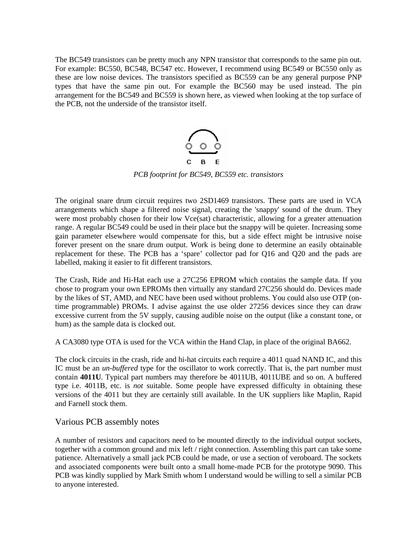The BC549 transistors can be pretty much any NPN transistor that corresponds to the same pin out. For example: BC550, BC548, BC547 etc. However, I recommend using BC549 or BC550 only as these are low noise devices. The transistors specified as BC559 can be any general purpose PNP types that have the same pin out. For example the BC560 may be used instead. The pin arrangement for the BC549 and BC559 is shown here, as viewed when looking at the top surface of the PCB, not the underside of the transistor itself.



*PCB footprint for BC549, BC559 etc. transistors*

The original snare drum circuit requires two 2SD1469 transistors. These parts are used in VCA arrangements which shape a filtered noise signal, creating the 'snappy' sound of the drum. They were most probably chosen for their low Vce(sat) characteristic, allowing for a greater attenuation range. A regular BC549 could be used in their place but the snappy will be quieter. Increasing some gain parameter elsewhere would compensate for this, but a side effect might be intrusive noise forever present on the snare drum output. Work is being done to determine an easily obtainable replacement for these. The PCB has a 'spare' collector pad for Q16 and Q20 and the pads are labelled, making it easier to fit different transistors.

The Crash, Ride and Hi-Hat each use a 27C256 EPROM which contains the sample data. If you chose to program your own EPROMs then virtually any standard 27C256 should do. Devices made by the likes of ST, AMD, and NEC have been used without problems. You could also use OTP (ontime programmable) PROMs. I advise against the use older 27256 devices since they can draw excessive current from the 5V supply, causing audible noise on the output (like a constant tone, or hum) as the sample data is clocked out.

A CA3080 type OTA is used for the VCA within the Hand Clap, in place of the original BA662.

The clock circuits in the crash, ride and hi-hat circuits each require a 4011 quad NAND IC, and this IC must be an *un-buffered* type for the oscillator to work correctly. That is, the part number must contain **4011U**. Typical part numbers may therefore be 4011UB, 4011UBE and so on. A buffered type i.e. 4011B, etc. is *not* suitable. Some people have expressed difficulty in obtaining these versions of the 4011 but they are certainly still available. In the UK suppliers like Maplin, Rapid and Farnell stock them.

# Various PCB assembly notes

A number of resistors and capacitors need to be mounted directly to the individual output sockets, together with a common ground and mix left / right connection. Assembling this part can take some patience. Alternatively a small jack PCB could be made, or use a section of veroboard. The sockets and associated components were built onto a small home-made PCB for the prototype 9090. This PCB was kindly supplied by Mark Smith whom I understand would be willing to sell a similar PCB to anyone interested.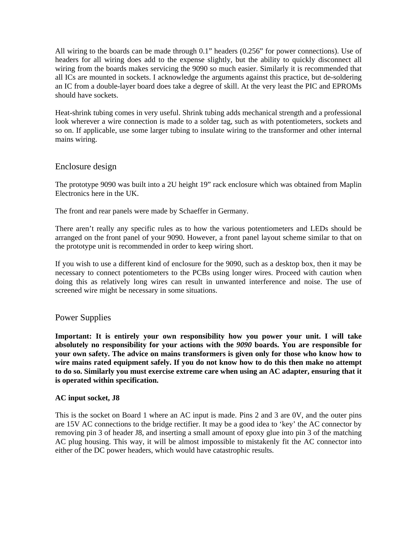All wiring to the boards can be made through 0.1" headers (0.256" for power connections). Use of headers for all wiring does add to the expense slightly, but the ability to quickly disconnect all wiring from the boards makes servicing the 9090 so much easier. Similarly it is recommended that all ICs are mounted in sockets. I acknowledge the arguments against this practice, but de-soldering an IC from a double-layer board does take a degree of skill. At the very least the PIC and EPROMs should have sockets.

Heat-shrink tubing comes in very useful. Shrink tubing adds mechanical strength and a professional look wherever a wire connection is made to a solder tag, such as with potentiometers, sockets and so on. If applicable, use some larger tubing to insulate wiring to the transformer and other internal mains wiring.

# Enclosure design

The prototype 9090 was built into a 2U height 19" rack enclosure which was obtained from Maplin Electronics here in the UK.

The front and rear panels were made by Schaeffer in Germany.

There aren't really any specific rules as to how the various potentiometers and LEDs should be arranged on the front panel of your 9090. However, a front panel layout scheme similar to that on the prototype unit is recommended in order to keep wiring short.

If you wish to use a different kind of enclosure for the 9090, such as a desktop box, then it may be necessary to connect potentiometers to the PCBs using longer wires. Proceed with caution when doing this as relatively long wires can result in unwanted interference and noise. The use of screened wire might be necessary in some situations.

# Power Supplies

**Important: It is entirely your own responsibility how you power your unit. I will take absolutely no responsibility for your actions with the** *9090* **boards. You are responsible for your own safety. The advice on mains transformers is given only for those who know how to wire mains rated equipment safely. If you do not know how to do this then make no attempt to do so. Similarly you must exercise extreme care when using an AC adapter, ensuring that it is operated within specification.**

## **AC input socket, J8**

This is the socket on Board 1 where an AC input is made. Pins 2 and 3 are 0V, and the outer pins are 15V AC connections to the bridge rectifier. It may be a good idea to 'key' the AC connector by removing pin 3 of header J8, and inserting a small amount of epoxy glue into pin 3 of the matching AC plug housing. This way, it will be almost impossible to mistakenly fit the AC connector into either of the DC power headers, which would have catastrophic results.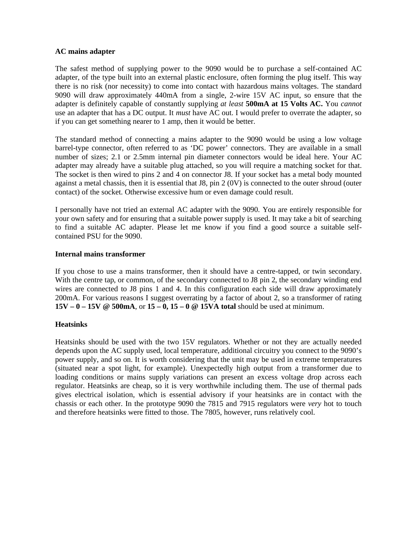#### **AC mains adapter**

The safest method of supplying power to the 9090 would be to purchase a self-contained AC adapter, of the type built into an external plastic enclosure, often forming the plug itself. This way there is no risk (nor necessity) to come into contact with hazardous mains voltages. The standard 9090 will draw approximately 440mA from a single, 2-wire 15V AC input, so ensure that the adapter is definitely capable of constantly supplying *at least* **500mA at 15 Volts AC.** You *cannot*  use an adapter that has a DC output. It *must* have AC out. I would prefer to overrate the adapter, so if you can get something nearer to 1 amp, then it would be better.

The standard method of connecting a mains adapter to the 9090 would be using a low voltage barrel-type connector, often referred to as 'DC power' connectors. They are available in a small number of sizes; 2.1 or 2.5mm internal pin diameter connectors would be ideal here. Your AC adapter may already have a suitable plug attached, so you will require a matching socket for that. The socket is then wired to pins 2 and 4 on connector J8. If your socket has a metal body mounted against a metal chassis, then it is essential that J8, pin 2 (0V) is connected to the outer shroud (outer contact) of the socket. Otherwise excessive hum or even damage could result.

I personally have not tried an external AC adapter with the 9090. You are entirely responsible for your own safety and for ensuring that a suitable power supply is used. It may take a bit of searching to find a suitable AC adapter. Please let me know if you find a good source a suitable selfcontained PSU for the 9090.

## **Internal mains transformer**

If you chose to use a mains transformer, then it should have a centre-tapped, or twin secondary. With the centre tap, or common, of the secondary connected to J8 pin 2, the secondary winding end wires are connected to J8 pins 1 and 4. In this configuration each side will draw approximately 200mA. For various reasons I suggest overrating by a factor of about 2, so a transformer of rating **15V – 0 – 15V @ 500mA**, or **15 – 0, 15 – 0 @ 15VA total** should be used at minimum.

## **Heatsinks**

Heatsinks should be used with the two 15V regulators. Whether or not they are actually needed depends upon the AC supply used, local temperature, additional circuitry you connect to the 9090's power supply, and so on. It is worth considering that the unit may be used in extreme temperatures (situated near a spot light, for example). Unexpectedly high output from a transformer due to loading conditions or mains supply variations can present an excess voltage drop across each regulator. Heatsinks are cheap, so it is very worthwhile including them. The use of thermal pads gives electrical isolation, which is essential advisory if your heatsinks are in contact with the chassis or each other. In the prototype 9090 the 7815 and 7915 regulators were *very* hot to touch and therefore heatsinks were fitted to those. The 7805, however, runs relatively cool.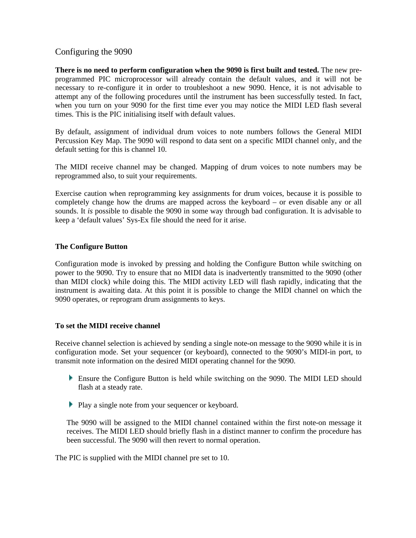# Configuring the 9090

**There is no need to perform configuration when the 9090 is first built and tested.** The new preprogrammed PIC microprocessor will already contain the default values, and it will not be necessary to re-configure it in order to troubleshoot a new 9090. Hence, it is not advisable to attempt any of the following procedures until the instrument has been successfully tested. In fact, when you turn on your 9090 for the first time ever you may notice the MIDI LED flash several times. This is the PIC initialising itself with default values.

By default, assignment of individual drum voices to note numbers follows the General MIDI Percussion Key Map. The 9090 will respond to data sent on a specific MIDI channel only, and the default setting for this is channel 10.

The MIDI receive channel may be changed. Mapping of drum voices to note numbers may be reprogrammed also, to suit your requirements.

Exercise caution when reprogramming key assignments for drum voices, because it is possible to completely change how the drums are mapped across the keyboard – or even disable any or all sounds. It *is* possible to disable the 9090 in some way through bad configuration. It is advisable to keep a 'default values' Sys-Ex file should the need for it arise.

## **The Configure Button**

Configuration mode is invoked by pressing and holding the Configure Button while switching on power to the 9090. Try to ensure that no MIDI data is inadvertently transmitted to the 9090 (other than MIDI clock) while doing this. The MIDI activity LED will flash rapidly, indicating that the instrument is awaiting data. At this point it is possible to change the MIDI channel on which the 9090 operates, or reprogram drum assignments to keys.

## **To set the MIDI receive channel**

Receive channel selection is achieved by sending a single note-on message to the 9090 while it is in configuration mode. Set your sequencer (or keyboard), connected to the 9090's MIDI-in port, to transmit note information on the desired MIDI operating channel for the 9090.

- Ensure the Configure Button is held while switching on the 9090. The MIDI LED should flash at a steady rate.
- **Play a single note from your sequencer or keyboard.**

The 9090 will be assigned to the MIDI channel contained within the first note-on message it receives. The MIDI LED should briefly flash in a distinct manner to confirm the procedure has been successful. The 9090 will then revert to normal operation.

The PIC is supplied with the MIDI channel pre set to 10.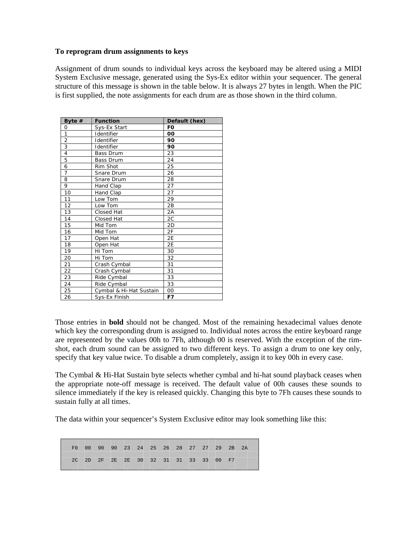#### **To reprogram drum assignments to keys**

Assignment of drum sounds to individual keys across the keyboard may be altered using a MIDI System Exclusive message, generated using the Sys-Ex editor within your sequencer. The general structure of this message is shown in the table below. It is always 27 bytes in length. When the PIC is first supplied, the note assignments for each drum are as those shown in the third column.

| Byte $#$       | <b>Function</b>         | Default (hex)  |
|----------------|-------------------------|----------------|
| 0              | Sys-Ex Start            | F <sub>0</sub> |
| 1              | Identifier              | 00             |
| $\overline{2}$ | Identifier              | 90             |
| 3              | Identifier              | 90             |
| $\overline{4}$ | <b>Bass Drum</b>        | 23             |
| 5              | <b>Bass Drum</b>        | 24             |
| 6              | Rim Shot                | 25             |
| $\overline{7}$ | Snare Drum              | 26             |
| 8              | Snare Drum              | 28             |
| 9              | Hand Clap               | 27             |
| 10             | Hand Clap               | 27             |
| 11             | Low Tom                 | 29             |
| 12             | Low Tom                 | 2B             |
| 13             | Closed Hat              | 2A             |
| 14             | Closed Hat              | 2C             |
| 15             | Mid Tom                 | 2D             |
| 16             | Mid Tom                 | 2F             |
| 17             | Open Hat                | 2E             |
| 18             | Open Hat                | 2E             |
| 19             | Hi Tom                  | 30             |
| 20             | Hi Tom                  | 32             |
| 21             | Crash Cymbal            | 31             |
| 22             | Crash Cymbal            | 31             |
| 23             | Ride Cymbal             | 33             |
| 24             | Ride Cymbal             | 33             |
| 25             | Cymbal & Hi-Hat Sustain | 00             |
| 26             | Sys-Ex Finish           | F7             |
|                |                         |                |

Those entries in **bold** should not be changed. Most of the remaining hexadecimal values denote which key the corresponding drum is assigned to. Individual notes across the entire keyboard range are represented by the values 00h to 7Fh, although 00 is reserved. With the exception of the rimshot, each drum sound can be assigned to two different keys. To assign a drum to one key only, specify that key value twice. To disable a drum completely, assign it to key 00h in every case.

The Cymbal & Hi-Hat Sustain byte selects whether cymbal and hi-hat sound playback ceases when the appropriate note-off message is received. The default value of 00h causes these sounds to silence immediately if the key is released quickly. Changing this byte to 7Fh causes these sounds to sustain fully at all times.

The data within your sequencer's System Exclusive editor may look something like this:

F0 00 90 90 23 24 25 26 28 27 27 29 2B 2A 2C 2D 2F 2E 2E 30 32 31 31 33 33 00 F7